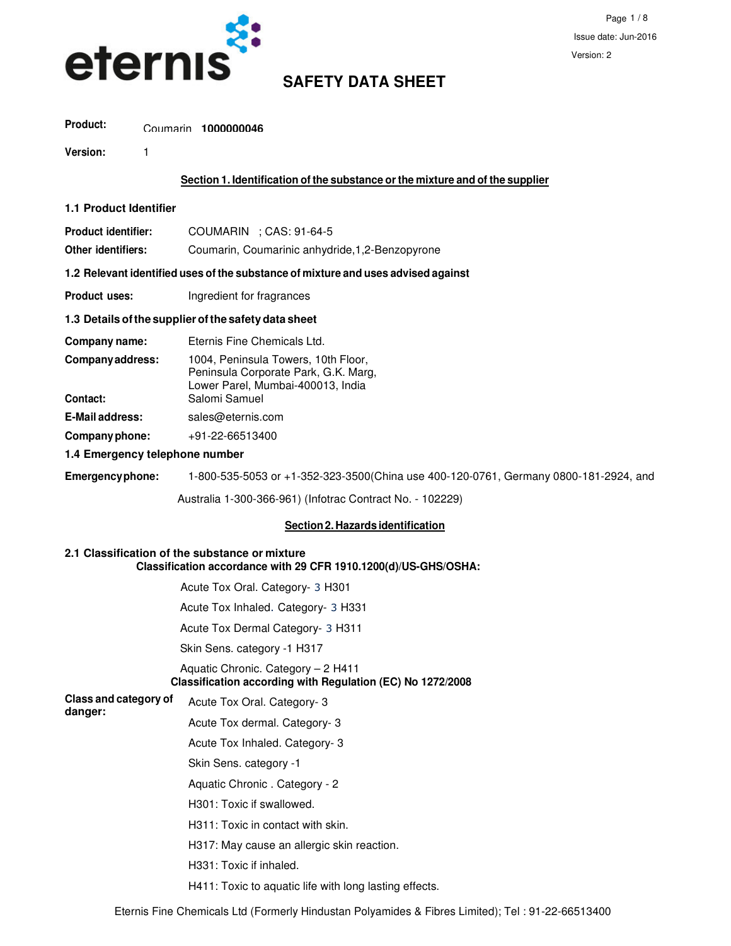

# Coumarin **1000000046 Product:**

**Version:** 1

#### **Section 1. Identification of the substance or the mixture and of the supplier**

#### **1.1 Product Identifier**

| <b>Product identifier:</b> | COUMARIN : CAS: 91-64-5                          |
|----------------------------|--------------------------------------------------|
| Other identifiers:         | Coumarin, Coumarinic anhydride, 1, 2-Benzopyrone |

#### **1.2 Relevant identified uses of the substance of mixture and uses advised against**

**Product uses: Ingredient for fragrances** 

### **1.3 Details of the supplier of the safety data sheet**

| Company name:          | Eternis Fine Chemicals Ltd.                                                                                      |
|------------------------|------------------------------------------------------------------------------------------------------------------|
| Company address:       | 1004, Peninsula Towers, 10th Floor,<br>Peninsula Corporate Park, G.K. Marg,<br>Lower Parel, Mumbai-400013, India |
| Contact:               | Salomi Samuel                                                                                                    |
| <b>E-Mail address:</b> | sales@eternis.com                                                                                                |
| Company phone:         | +91-22-66513400                                                                                                  |
|                        |                                                                                                                  |

#### **1.4 Emergency telephone number**

**Emergency phone:** 1-800-535-5053 or +1-352-323-3500(China use 400-120-0761, Germany 0800-181-2924, and

Australia 1-300-366-961) (Infotrac Contract No. - 102229)

# **Section 2. Hazards identification**

#### **2.1 Classification of the substance or mixture Classification accordance with 29 CFR 1910.1200(d)/US-GHS/OSHA:**

Acute Tox Oral. Category- 3 H301

Acute Tox Inhaled. Category- 3 H331

Acute Tox Dermal Category- 3 H311

Skin Sens. category -1 H317

#### Aquatic Chronic. Category – 2 H411  **Classification according with Regulation (EC) No 1272/2008**

**Class and category of danger:** Acute Tox Oral. Category- 3

Acute Tox dermal. Category- 3

- Acute Tox Inhaled. Category- 3
- Skin Sens. category -1
- Aquatic Chronic . Category 2
- H301: Toxic if swallowed.
- H311: Toxic in contact with skin.
- H317: May cause an allergic skin reaction.
- H331: Toxic if inhaled.
- H411: Toxic to aquatic life with long lasting effects.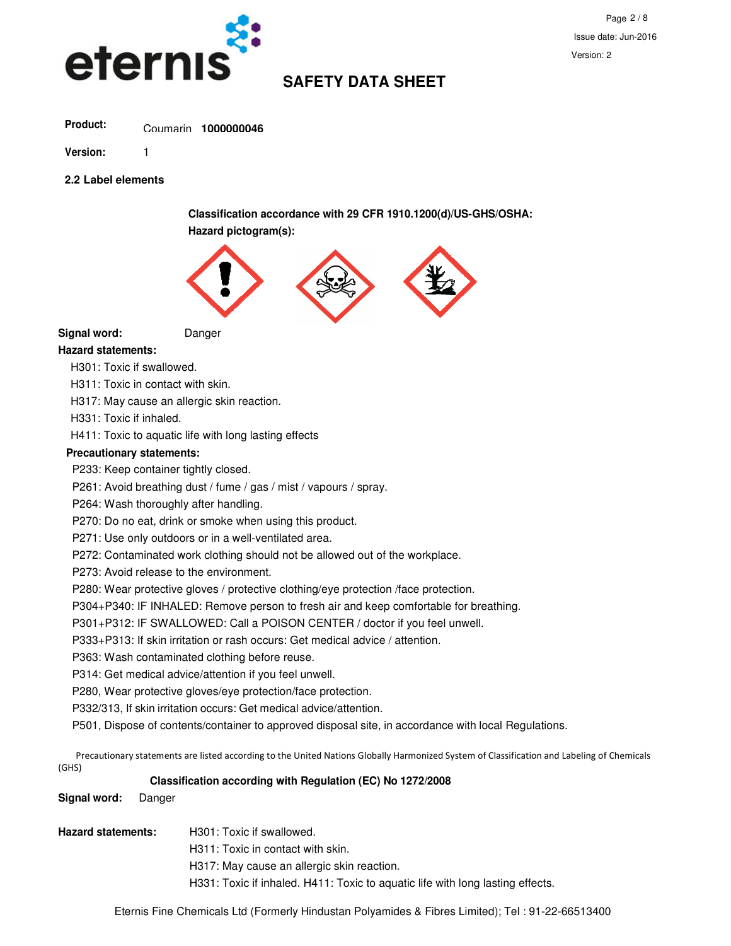

# Coumarin **1000000046 Product:**

**Version:** 1

**2.2 Label elements**

**Classification accordance with 29 CFR 1910.1200(d)/US-GHS/OSHA: Hazard pictogram(s):** 



**Signal word:** Danger

# **Hazard statements:**

H301: Toxic if swallowed.

H311: Toxic in contact with skin.

H317: May cause an allergic skin reaction.

H331: Toxic if inhaled.

H411: Toxic to aquatic life with long lasting effects

# **Precautionary statements:**

P233: Keep container tightly closed.

P261: Avoid breathing dust / fume / gas / mist / vapours / spray.

P264: Wash thoroughly after handling.

P270: Do no eat, drink or smoke when using this product.

P271: Use only outdoors or in a well-ventilated area.

P272: Contaminated work clothing should not be allowed out of the workplace.

P273: Avoid release to the environment.

P280: Wear protective gloves / protective clothing/eye protection /face protection.

P304+P340: IF INHALED: Remove person to fresh air and keep comfortable for breathing.

P301+P312: IF SWALLOWED: Call a POISON CENTER / doctor if you feel unwell.

P333+P313: If skin irritation or rash occurs: Get medical advice / attention.

P363: Wash contaminated clothing before reuse.

P314: Get medical advice/attention if you feel unwell.

P280, Wear protective gloves/eye protection/face protection.

P332/313, If skin irritation occurs: Get medical advice/attention.

P501, Dispose of contents/container to approved disposal site, in accordance with local Regulations.

Precautionary statements are listed according to the United Nations Globally Harmonized System of Classification and Labeling of Chemicals (GHS)

# **Classification according with Regulation (EC) No 1272/2008**

# **Signal word:** Danger

**Hazard statements:** H301: Toxic if swallowed.

H311: Toxic in contact with skin.

H317: May cause an allergic skin reaction.

H331: Toxic if inhaled. H411: Toxic to aquatic life with long lasting effects.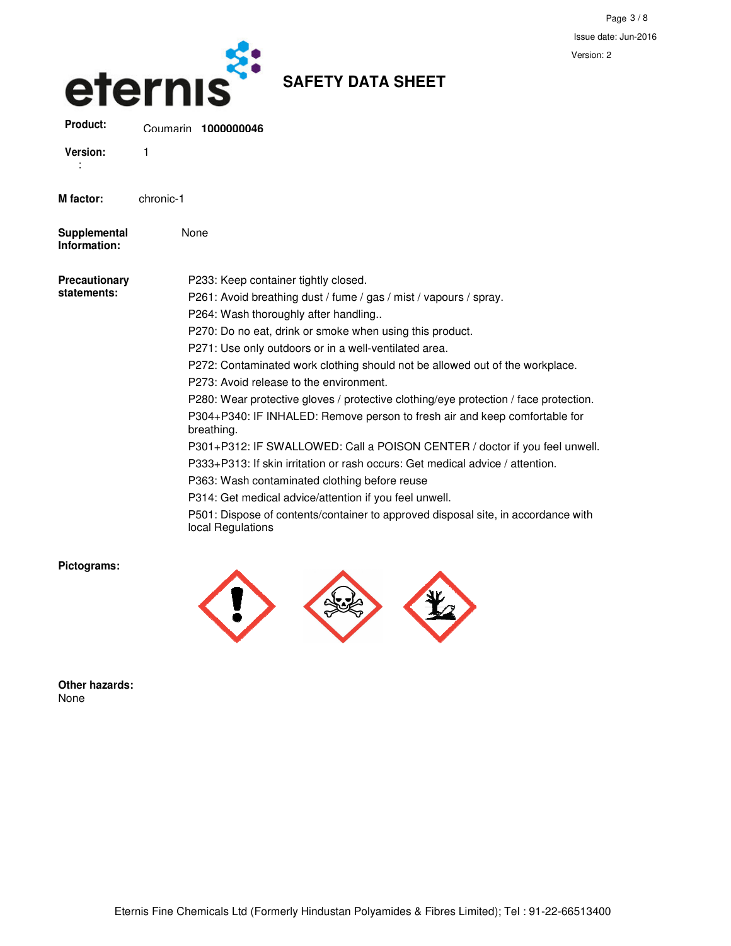

None

**SAFETY DATA SHEET**

| <b>Version:</b> |           |
|-----------------|-----------|
| M factor:       | chronic-1 |

| Supplemental |  |
|--------------|--|
| Information: |  |
|              |  |

**Precat staten** 

| utionary | P233: Keep container tightly closed.                                                                   |
|----------|--------------------------------------------------------------------------------------------------------|
| nents:   | P261: Avoid breathing dust / fume / gas / mist / vapours / spray.                                      |
|          | P264: Wash thoroughly after handling                                                                   |
|          | P270: Do no eat, drink or smoke when using this product.                                               |
|          | P271: Use only outdoors or in a well-ventilated area.                                                  |
|          | P272: Contaminated work clothing should not be allowed out of the workplace.                           |
|          | P273: Avoid release to the environment.                                                                |
|          | P280: Wear protective gloves / protective clothing/eye protection / face protection.                   |
|          | P304+P340: IF INHALED: Remove person to fresh air and keep comfortable for<br>breathing.               |
|          | P301+P312: IF SWALLOWED: Call a POISON CENTER / doctor if you feel unwell.                             |
|          | P333+P313: If skin irritation or rash occurs: Get medical advice / attention.                          |
|          | P363: Wash contaminated clothing before reuse                                                          |
|          | P314: Get medical advice/attention if you feel unwell.                                                 |
|          | P501: Dispose of contents/container to approved disposal site, in accordance with<br>local Regulations |
|          |                                                                                                        |

**Pictograms:** 



**Other hazards:**  None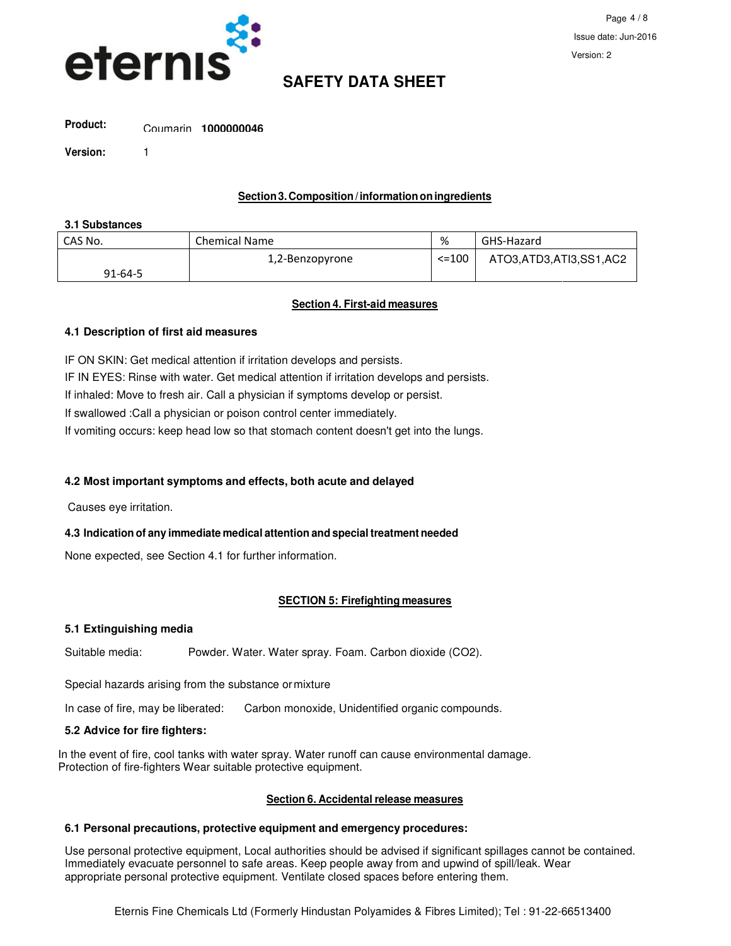

# Coumarin **1000000046 Product:**

**Version:** 1

# **Section 3. Composition / information on ingredients**

### **3.1 Substances**

| CAS No.       | <b>Chemical Name</b> | %           | GHS-Hazard             |
|---------------|----------------------|-------------|------------------------|
|               | 1,2-Benzopyrone      | $\le$ = 100 | ATO3,ATD3,ATI3,SS1,AC2 |
| $91 - 64 - 5$ |                      |             |                        |

# **Section 4. First-aid measures**

# **4.1 Description of first aid measures**

IF ON SKIN: Get medical attention if irritation develops and persists.

IF IN EYES: Rinse with water. Get medical attention if irritation develops and persists.

If inhaled: Move to fresh air. Call a physician if symptoms develop or persist.

If swallowed :Call a physician or poison control center immediately.

If vomiting occurs: keep head low so that stomach content doesn't get into the lungs.

# **4.2 Most important symptoms and effects, both acute and delayed**

Causes eye irritation.

# **4.3 Indication of any immediate medical attention and special treatment needed**

None expected, see Section 4.1 for further information.

# **SECTION 5: Firefighting measures**

# **5.1 Extinguishing media**

Suitable media: Powder. Water. Water spray. Foam. Carbon dioxide (CO2).

Special hazards arising from the substance or mixture

In case of fire, may be liberated: Carbon monoxide, Unidentified organic compounds.

# **5.2 Advice for fire fighters:**

In the event of fire, cool tanks with water spray. Water runoff can cause environmental damage. Protection of fire-fighters Wear suitable protective equipment.

# **Section 6. Accidental release measures**

# **6.1 Personal precautions, protective equipment and emergency procedures:**

Use personal protective equipment, Local authorities should be advised if significant spillages cannot be contained. Immediately evacuate personnel to safe areas. Keep people away from and upwind of spill/leak. Wear appropriate personal protective equipment. Ventilate closed spaces before entering them.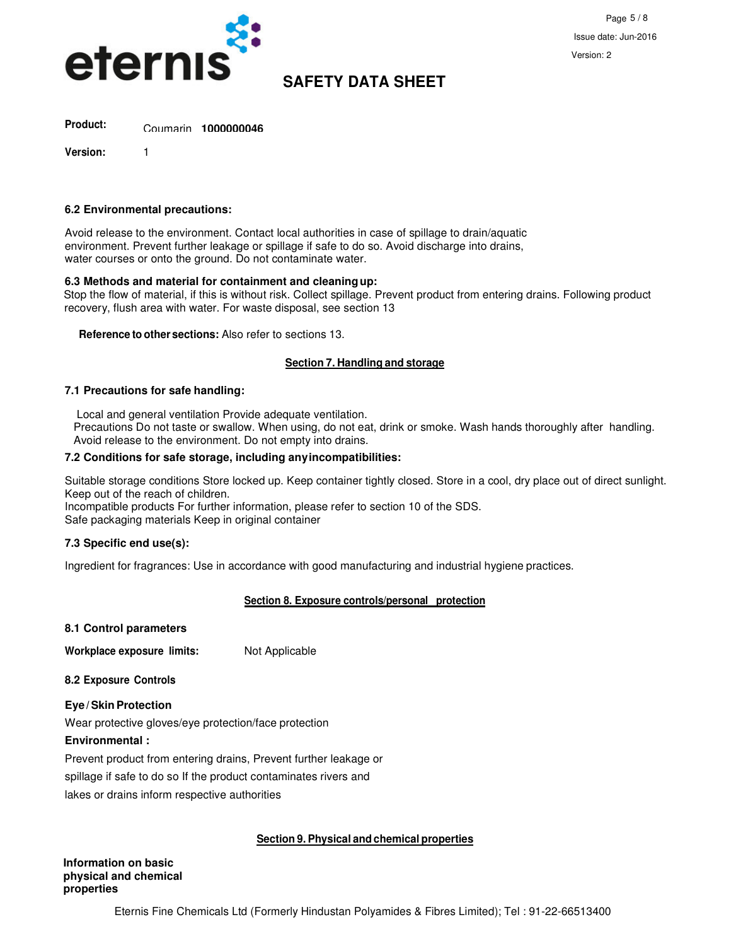

Coumarin **1000000046 Product:**

**Version:** 1

#### **6.2 Environmental precautions:**

Avoid release to the environment. Contact local authorities in case of spillage to drain/aquatic environment. Prevent further leakage or spillage if safe to do so. Avoid discharge into drains, water courses or onto the ground. Do not contaminate water.

#### **6.3 Methods and material for containment and cleaning up:**

 Stop the flow of material, if this is without risk. Collect spillage. Prevent product from entering drains. Following product recovery, flush area with water. For waste disposal, see section 13

 **Reference to other sections:** Also refer to sections 13.

#### **Section 7. Handling and storage**

#### **7.1 Precautions for safe handling:**

Local and general ventilation Provide adequate ventilation.

 Precautions Do not taste or swallow. When using, do not eat, drink or smoke. Wash hands thoroughly after handling. Avoid release to the environment. Do not empty into drains.

#### **7.2 Conditions for safe storage, including any incompatibilities:**

Suitable storage conditions Store locked up. Keep container tightly closed. Store in a cool, dry place out of direct sunlight. Keep out of the reach of children.

Incompatible products For further information, please refer to section 10 of the SDS. Safe packaging materials Keep in original container

#### **7.3 Specific end use(s):**

Ingredient for fragrances: Use in accordance with good manufacturing and industrial hygiene practices.

#### **Section 8. Exposure controls/personal protection**

| 8.1 Control parameters                                           |                |
|------------------------------------------------------------------|----------------|
| Workplace exposure limits:                                       | Not Applicable |
| <b>8.2 Exposure Controls</b>                                     |                |
| Eye/Skin Protection                                              |                |
| Wear protective gloves/eye protection/face protection            |                |
| <b>Environmental:</b>                                            |                |
| Prevent product from entering drains, Prevent further leakage or |                |
| spillage if safe to do so If the product contaminates rivers and |                |
| lakes or drains inform respective authorities                    |                |
|                                                                  |                |

#### **Section 9. Physical and chemical properties**

**Information on basic physical and chemical properties**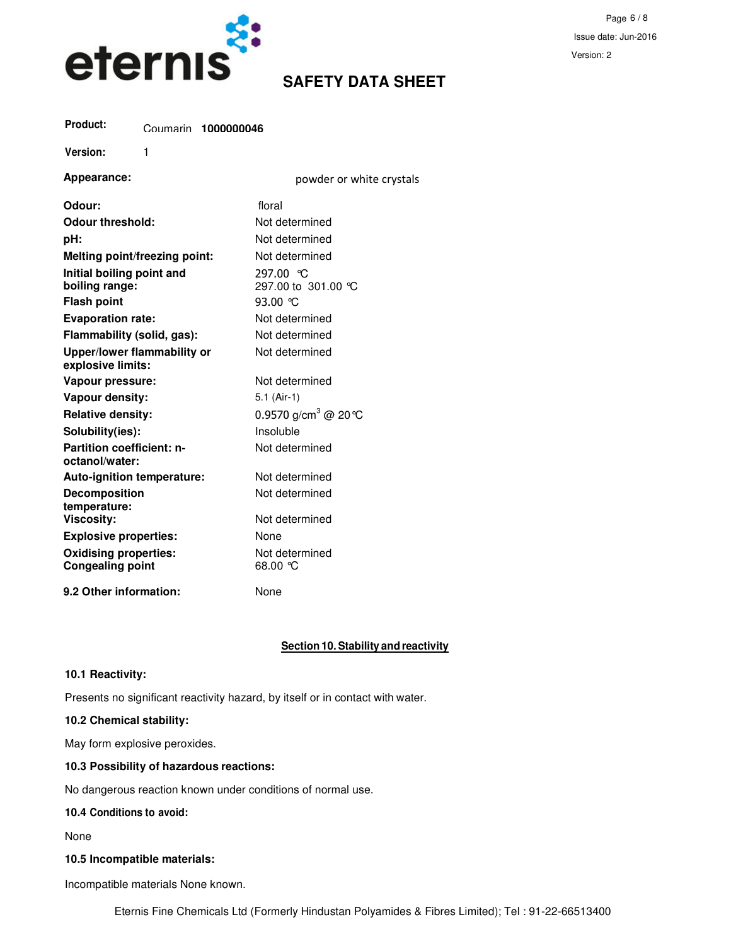

Page 6 / 8 Issue date: Jun-2016 Version: 2

# Coumarin **1000000046 Product:**

**Version:** 1

| Appearance:                                             | powder or white crystals            |
|---------------------------------------------------------|-------------------------------------|
| Odour:                                                  | floral                              |
| Odour threshold:                                        | Not determined                      |
| pH:                                                     | Not determined                      |
| Melting point/freezing point:                           | Not determined                      |
| Initial boiling point and<br>boiling range:             | 297.00 ℃<br>297.00 to 301.00 °C     |
| <b>Flash point</b>                                      | 93.00 $\degree$ C                   |
| <b>Evaporation rate:</b>                                | Not determined                      |
| Flammability (solid, gas):                              | Not determined                      |
| Upper/lower flammability or<br>explosive limits:        | Not determined                      |
| Vapour pressure:                                        | Not determined                      |
| Vapour density:                                         | $5.1$ (Air-1)                       |
| <b>Relative density:</b>                                | 0.9570 g/cm <sup>3</sup> @ 20 ℃     |
| Solubility(ies):                                        | Insoluble                           |
| <b>Partition coefficient: n-</b><br>octanol/water:      | Not determined                      |
| Auto-ignition temperature:                              | Not determined                      |
| <b>Decomposition</b><br>temperature:                    | Not determined                      |
| <b>Viscosity:</b>                                       | Not determined                      |
| <b>Explosive properties:</b>                            | None                                |
| <b>Oxidising properties:</b><br><b>Congealing point</b> | Not determined<br>$O^{\circ}$ 00.8a |
| 9.2 Other information:                                  | None                                |

# **Section 10. Stability and reactivity**

# **10.1 Reactivity:**

Presents no significant reactivity hazard, by itself or in contact with water.

#### **10.2 Chemical stability:**

May form explosive peroxides.

### **10.3 Possibility of hazardous reactions:**

No dangerous reaction known under conditions of normal use.

#### **10.4 Conditions to avoid:**

None

### **10.5 Incompatible materials:**

Incompatible materials None known.

Eternis Fine Chemicals Ltd (Formerly Hindustan Polyamides & Fibres Limited); Tel : 91-22-66513400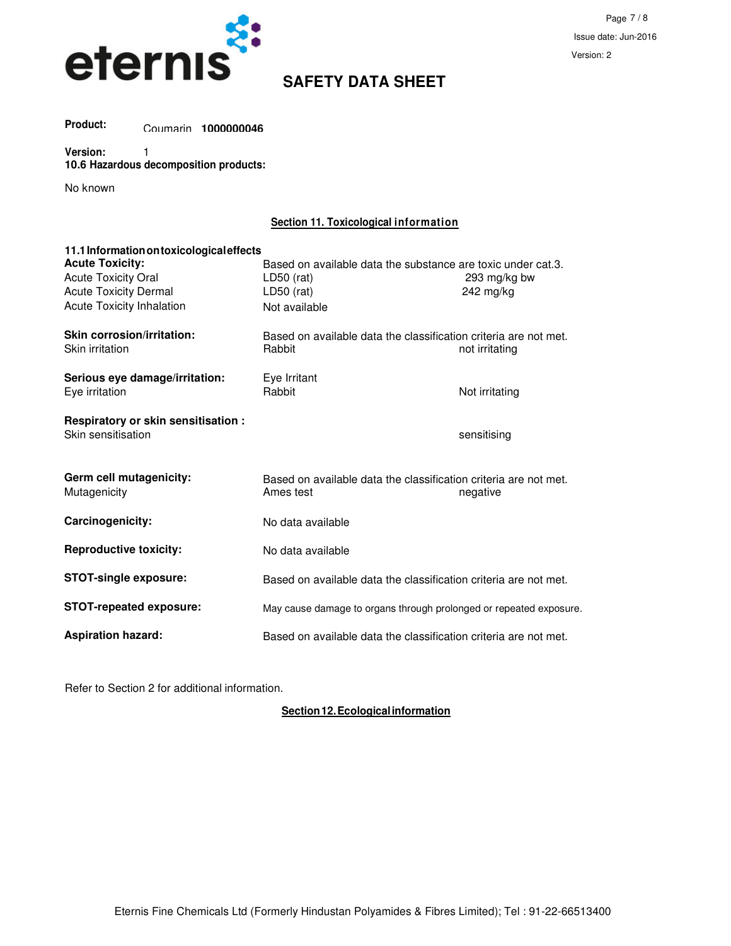

Coumarin **1000000046 Product:**

#### **Version:** 1 **10.6 Hazardous decomposition products:**

No known

# **Section 11. Toxicological information**

| 11.1 Information on toxicological effects                 |                                                                               |                |  |
|-----------------------------------------------------------|-------------------------------------------------------------------------------|----------------|--|
| <b>Acute Toxicity:</b>                                    | Based on available data the substance are toxic under cat.3.                  |                |  |
| <b>Acute Toxicity Oral</b>                                | $LD50$ (rat)                                                                  | 293 mg/kg bw   |  |
| <b>Acute Toxicity Dermal</b>                              | $LD50$ (rat)                                                                  | 242 mg/kg      |  |
| <b>Acute Toxicity Inhalation</b>                          | Not available                                                                 |                |  |
| Skin corrosion/irritation:<br>Skin irritation             | Based on available data the classification criteria are not met.<br>Rabbit    | not irritating |  |
| Serious eye damage/irritation:<br>Eve irritation          | Eye Irritant<br>Rabbit                                                        | Not irritating |  |
| Respiratory or skin sensitisation :<br>Skin sensitisation |                                                                               | sensitising    |  |
| Germ cell mutagenicity:<br>Mutagenicity                   | Based on available data the classification criteria are not met.<br>Ames test | negative       |  |
| Carcinogenicity:                                          | No data available                                                             |                |  |
| <b>Reproductive toxicity:</b>                             | No data available                                                             |                |  |
| <b>STOT-single exposure:</b>                              | Based on available data the classification criteria are not met.              |                |  |
| <b>STOT-repeated exposure:</b>                            | May cause damage to organs through prolonged or repeated exposure.            |                |  |
| <b>Aspiration hazard:</b>                                 | Based on available data the classification criteria are not met.              |                |  |

Refer to Section 2 for additional information.

**Section 12. Ecological information**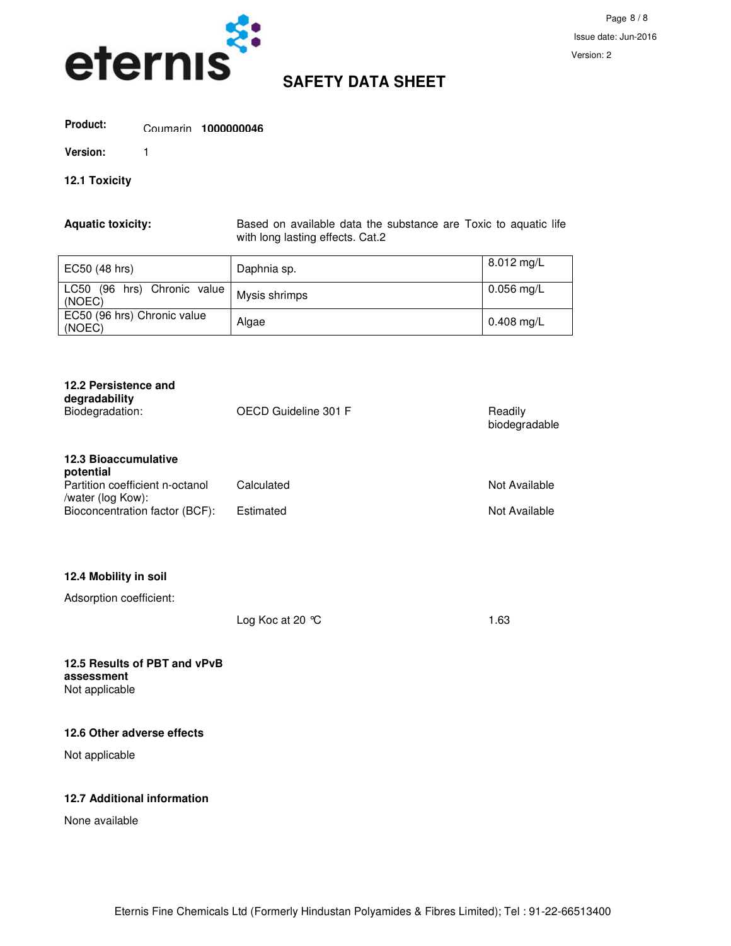

# Coumarin **1000000046 Product:**

**Version:** 1

# **12.1 Toxicity**

**Aquatic toxicity:** Based on available data the substance are Toxic to aquatic life with long lasting effects. Cat.2

| EC50 (48 hrs)                         | Daphnia sp.   | $8.012 \text{ mg/L}$ |
|---------------------------------------|---------------|----------------------|
| LC50 (96 hrs) Chronic value<br>(NOEC) | Mysis shrimps | $0.056$ mg/L         |
| EC50 (96 hrs) Chronic value<br>(NOEC) | Algae         | $0.408$ mg/L         |

| 12.2 Persistence and<br>degradability<br>Biodegradation:                                                                           | OECD Guideline 301 F    | Readily<br>biodegradable       |
|------------------------------------------------------------------------------------------------------------------------------------|-------------------------|--------------------------------|
| <b>12.3 Bioaccumulative</b><br>potential<br>Partition coefficient n-octanol<br>/water (log Kow):<br>Bioconcentration factor (BCF): | Calculated<br>Estimated | Not Available<br>Not Available |
| 12.4 Mobility in soil<br>Adsorption coefficient:                                                                                   | Log Koc at 20 °C        | 1.63                           |
| 12.5 Results of PBT and vPvB<br>assessment<br>Not applicable                                                                       |                         |                                |

#### **12.6 Other adverse effects**

Not applicable

# **12.7 Additional information**

None available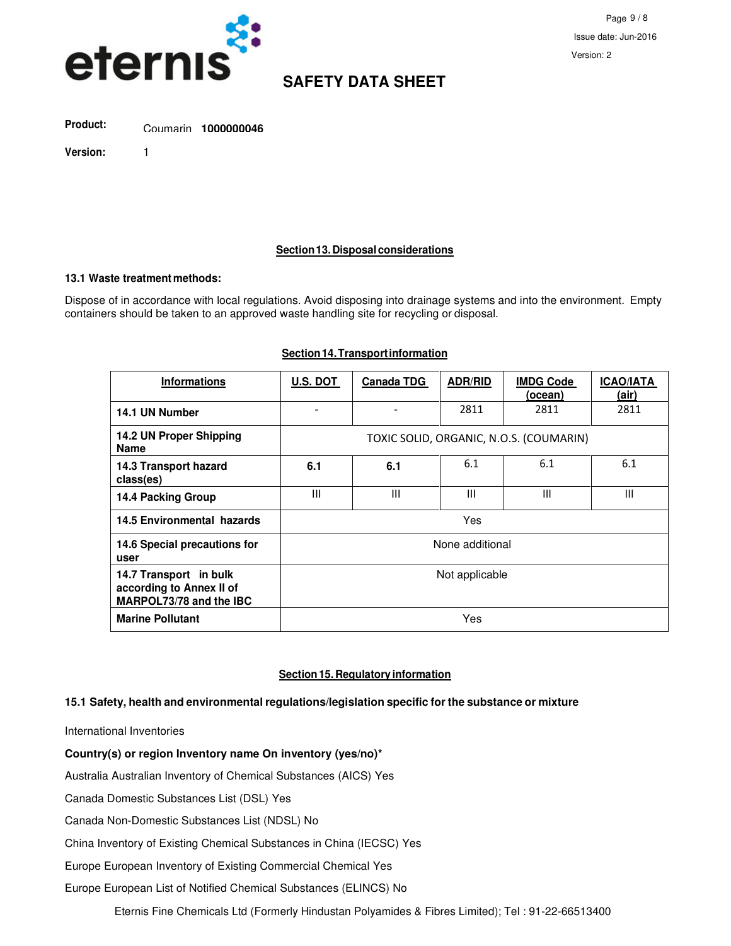

Coumarin **1000000046 Product:**

**Version:** 1

**Section 13. Disposal considerations**

#### **13.1 Waste treatment methods:**

Dispose of in accordance with local regulations. Avoid disposing into drainage systems and into the environment. Empty containers should be taken to an approved waste handling site for recycling or disposal.

| <b>Informations</b>                                                           | <b>U.S. DOT</b>                         | <b>Canada TDG</b> | <b>ADR/RID</b> | <b>IMDG Code</b><br>(ocean) | <b>ICAO/IATA</b><br>(air) |
|-------------------------------------------------------------------------------|-----------------------------------------|-------------------|----------------|-----------------------------|---------------------------|
| 14.1 UN Number                                                                |                                         |                   | 2811           | 2811                        | 2811                      |
| 14.2 UN Proper Shipping<br>Name                                               | TOXIC SOLID, ORGANIC, N.O.S. (COUMARIN) |                   |                |                             |                           |
| 14.3 Transport hazard<br>class(es)                                            | 6.1                                     | 6.1               | 6.1            | 6.1                         | 6.1                       |
| 14.4 Packing Group                                                            | III                                     | III               | Ш              | III                         | III                       |
| 14.5 Environmental hazards                                                    | Yes                                     |                   |                |                             |                           |
| 14.6 Special precautions for<br>user                                          | None additional                         |                   |                |                             |                           |
| 14.7 Transport in bulk<br>according to Annex II of<br>MARPOL73/78 and the IBC | Not applicable                          |                   |                |                             |                           |
| <b>Marine Pollutant</b>                                                       | Yes                                     |                   |                |                             |                           |

### **Section 14. Transport information**

#### **Section 15. Regulatory information**

### **15.1 Safety, health and environmental regulations/legislation specific for the substance or mixture**

International Inventories

#### **Country(s) or region Inventory name On inventory (yes/no)\***

Australia Australian Inventory of Chemical Substances (AICS) Yes

Canada Domestic Substances List (DSL) Yes

Canada Non-Domestic Substances List (NDSL) No

China Inventory of Existing Chemical Substances in China (IECSC) Yes

Europe European Inventory of Existing Commercial Chemical Yes

Europe European List of Notified Chemical Substances (ELINCS) No

Eternis Fine Chemicals Ltd (Formerly Hindustan Polyamides & Fibres Limited); Tel : 91-22-66513400